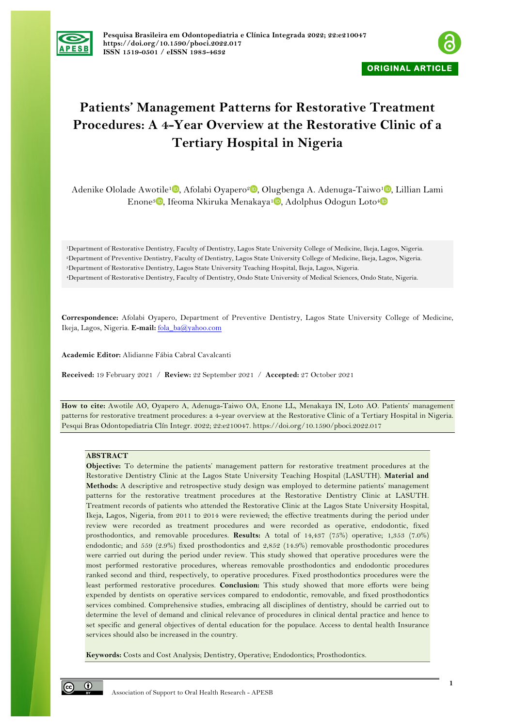



# **Patients' Management Patterns for Restorative Treatment Procedures: A 4-Year Overview at the Restorative Clinic of a Tertiary Hospital in Nigeria**

Adenike Ololade Awotile<sup>1</sup><sup>0</sup>, Afolabi Oyapero<sup>[2](https://orcid.org/0000-0003-4433-8276)</sup><sup>0</sup>[,](https://orcid.org/0000-0002-3814-5075) Olugbenga A. Adenuga-Taiwo<sup>1</sup><sup>0</sup>, Lillian Lami Enone<sup>3</sup><sup>D</sup>[,](https://orcid.org/0000-0003-1612-5484) Ifeoma Nkiruka Menakaya<sup>1</sup>D, Adolphus Odogun Loto<sup>4</sup><sup>D</sup>

1Department of Restorative Dentistry, Faculty of Dentistry, Lagos State University College of Medicine, Ikeja, Lagos, Nigeria. 2Department of Preventive Dentistry, Faculty of Dentistry, Lagos State University College of Medicine, Ikeja, Lagos, Nigeria. 3Department of Restorative Dentistry, Lagos State University Teaching Hospital, Ikeja, Lagos, Nigeria.

4Department of Restorative Dentistry, Faculty of Dentistry, Ondo State University of Medical Sciences, Ondo State, Nigeria.

**Correspondence:** Afolabi Oyapero, Department of Preventive Dentistry, Lagos State University College of Medicine, Ikeja, Lagos, Nigeria. **E-mail:** fola\_ba@yahoo.com

**Academic Editor:** Alidianne Fábia Cabral Cavalcanti

**Received:** 19 February 2021 / **Review:** 22 September 2021 / **Accepted:** 27 October 2021

**How to cite:** Awotile AO, Oyapero A, Adenuga-Taiwo OA, Enone LL, Menakaya IN, Loto AO. Patients' management patterns for restorative treatment procedures: a 4-year overview at the Restorative Clinic of a Tertiary Hospital in Nigeria. Pesqui Bras Odontopediatria Clín Integr. 2022; 22:e210047. https://doi.org/10.1590/pboci.2022.017

# **ABSTRACT**

**Objective:** To determine the patients' management pattern for restorative treatment procedures at the Restorative Dentistry Clinic at the Lagos State University Teaching Hospital (LASUTH). **Material and Methods:** A descriptive and retrospective study design was employed to determine patients' management patterns for the restorative treatment procedures at the Restorative Dentistry Clinic at LASUTH. Treatment records of patients who attended the Restorative Clinic at the Lagos State University Hospital, Ikeja, Lagos, Nigeria, from 2011 to 2014 were reviewed; the effective treatments during the period under review were recorded as treatment procedures and were recorded as operative, endodontic, fixed prosthodontics, and removable procedures. **Results:** A total of 14,437 (75%) operative; 1,353 (7.0%) endodontic; and 559 (2.9%) fixed prosthodontics and 2,852 (14.9%) removable prosthodontic procedures were carried out during the period under review. This study showed that operative procedures were the most performed restorative procedures, whereas removable prosthodontics and endodontic procedures ranked second and third, respectively, to operative procedures. Fixed prosthodontics procedures were the least performed restorative procedures. **Conclusion:** This study showed that more efforts were being expended by dentists on operative services compared to endodontic, removable, and fixed prosthodontics services combined. Comprehensive studies, embracing all disciplines of dentistry, should be carried out to determine the level of demand and clinical relevance of procedures in clinical dental practice and hence to set specific and general objectives of dental education for the populace. Access to dental health Insurance services should also be increased in the country.

**Keywords:** Costs and Cost Analysis; Dentistry, Operative; Endodontics; Prosthodontics.

 $\odot$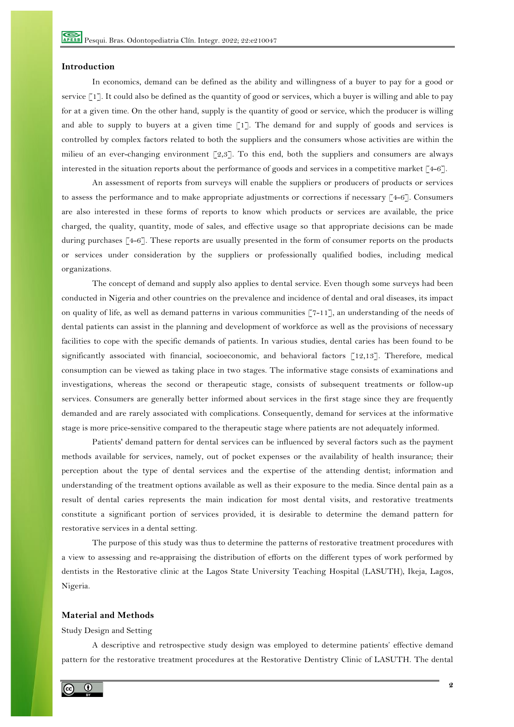# **Introduction**

In economics, demand can be defined as the ability and willingness of a buyer to pay for a good or service [1]. It could also be defined as the quantity of good or services, which a buyer is willing and able to pay for at a given time. On the other hand, supply is the quantity of good or service, which the producer is willing and able to supply to buyers at a given time [1]. The demand for and supply of goods and services is controlled by complex factors related to both the suppliers and the consumers whose activities are within the milieu of an ever-changing environment [2,3]. To this end, both the suppliers and consumers are always interested in the situation reports about the performance of goods and services in a competitive market  $\lceil 4-6 \rceil$ .

An assessment of reports from surveys will enable the suppliers or producers of products or services to assess the performance and to make appropriate adjustments or corrections if necessary [4-6]. Consumers are also interested in these forms of reports to know which products or services are available, the price charged, the quality, quantity, mode of sales, and effective usage so that appropriate decisions can be made during purchases [4-6]. These reports are usually presented in the form of consumer reports on the products or services under consideration by the suppliers or professionally qualified bodies, including medical organizations.

The concept of demand and supply also applies to dental service. Even though some surveys had been conducted in Nigeria and other countries on the prevalence and incidence of dental and oral diseases, its impact on quality of life, as well as demand patterns in various communities  $[7-11]$ , an understanding of the needs of dental patients can assist in the planning and development of workforce as well as the provisions of necessary facilities to cope with the specific demands of patients. In various studies, dental caries has been found to be significantly associated with financial, socioeconomic, and behavioral factors [12,13]. Therefore, medical consumption can be viewed as taking place in two stages. The informative stage consists of examinations and investigations, whereas the second or therapeutic stage, consists of subsequent treatments or follow-up services. Consumers are generally better informed about services in the first stage since they are frequently demanded and are rarely associated with complications. Consequently, demand for services at the informative stage is more price-sensitive compared to the therapeutic stage where patients are not adequately informed.

Patients' demand pattern for dental services can be influenced by several factors such as the payment methods available for services, namely, out of pocket expenses or the availability of health insurance; their perception about the type of dental services and the expertise of the attending dentist; information and understanding of the treatment options available as well as their exposure to the media. Since dental pain as a result of dental caries represents the main indication for most dental visits, and restorative treatments constitute a significant portion of services provided, it is desirable to determine the demand pattern for restorative services in a dental setting.

The purpose of this study was thus to determine the patterns of restorative treatment procedures with a view to assessing and re-appraising the distribution of efforts on the different types of work performed by dentists in the Restorative clinic at the Lagos State University Teaching Hospital (LASUTH), Ikeja, Lagos, Nigeria.

#### **Material and Methods**

#### Study Design and Setting

A descriptive and retrospective study design was employed to determine patients' effective demand pattern for the restorative treatment procedures at the Restorative Dentistry Clinic of LASUTH. The dental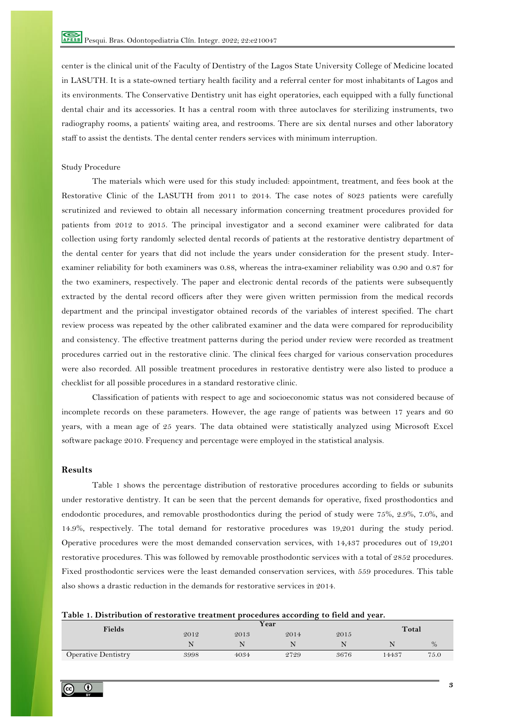center is the clinical unit of the Faculty of Dentistry of the Lagos State University College of Medicine located in LASUTH. It is a state-owned tertiary health facility and a referral center for most inhabitants of Lagos and its environments. The Conservative Dentistry unit has eight operatories, each equipped with a fully functional dental chair and its accessories. It has a central room with three autoclaves for sterilizing instruments, two radiography rooms, a patients' waiting area, and restrooms. There are six dental nurses and other laboratory staff to assist the dentists. The dental center renders services with minimum interruption.

#### Study Procedure

The materials which were used for this study included: appointment, treatment, and fees book at the Restorative Clinic of the LASUTH from 2011 to 2014. The case notes of 8023 patients were carefully scrutinized and reviewed to obtain all necessary information concerning treatment procedures provided for patients from 2012 to 2015. The principal investigator and a second examiner were calibrated for data collection using forty randomly selected dental records of patients at the restorative dentistry department of the dental center for years that did not include the years under consideration for the present study. Interexaminer reliability for both examiners was 0.88, whereas the intra-examiner reliability was 0.90 and 0.87 for the two examiners, respectively. The paper and electronic dental records of the patients were subsequently extracted by the dental record officers after they were given written permission from the medical records department and the principal investigator obtained records of the variables of interest specified. The chart review process was repeated by the other calibrated examiner and the data were compared for reproducibility and consistency. The effective treatment patterns during the period under review were recorded as treatment procedures carried out in the restorative clinic. The clinical fees charged for various conservation procedures were also recorded. All possible treatment procedures in restorative dentistry were also listed to produce a checklist for all possible procedures in a standard restorative clinic.

Classification of patients with respect to age and socioeconomic status was not considered because of incomplete records on these parameters. However, the age range of patients was between 17 years and 60 years, with a mean age of 25 years. The data obtained were statistically analyzed using Microsoft Excel software package 2010. Frequency and percentage were employed in the statistical analysis.

# **Results**

Table 1 shows the percentage distribution of restorative procedures according to fields or subunits under restorative dentistry. It can be seen that the percent demands for operative, fixed prosthodontics and endodontic procedures, and removable prosthodontics during the period of study were 75%, 2.9%, 7.0%, and 14.9%, respectively. The total demand for restorative procedures was 19,201 during the study period. Operative procedures were the most demanded conservation services, with 14,437 procedures out of 19,201 restorative procedures. This was followed by removable prosthodontic services with a total of 2852 procedures. Fixed prosthodontic services were the least demanded conservation services, with 559 procedures. This table also shows a drastic reduction in the demands for restorative services in 2014.

#### **Table 1. Distribution of restorative treatment procedures according to field and year.**

| Fields                     |      | Total |      |      |       |      |
|----------------------------|------|-------|------|------|-------|------|
|                            | 2012 | 2013  | 2014 | 2015 |       |      |
|                            |      |       |      |      |       | $\%$ |
| <b>Operative Dentistry</b> | 3998 | 4034  | 2729 | 3676 | 14437 | 75.0 |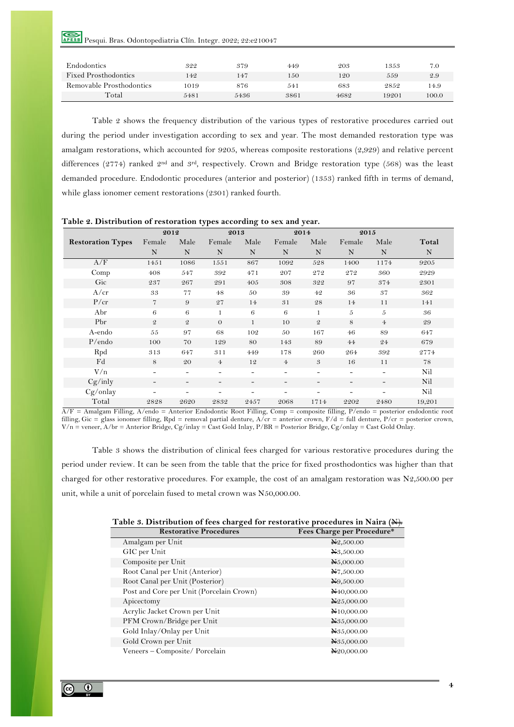Pesqui. Bras. Odontopediatria Clín. Integr. 2022; 22:e210047

| Endodontics              | 322  | 379  | 449  | 203  | 1353  | 7.0   |
|--------------------------|------|------|------|------|-------|-------|
| Fixed Prosthodontics     | 142  | 147  | 150  | 120  | 559   | 2.9   |
| Removable Prosthodontics | 1019 | 876  | 541  | 683  | 2852  | 14.9  |
| Total                    | 5481 | 5436 | 3861 | 4682 | 19201 | 100.0 |

Table 2 shows the frequency distribution of the various types of restorative procedures carried out during the period under investigation according to sex and year. The most demanded restoration type was amalgam restorations, which accounted for 9205, whereas composite restorations (2,929) and relative percent differences (2774) ranked 2<sup>nd</sup> and 3<sup>rd</sup>, respectively. Crown and Bridge restoration type (568) was the least demanded procedure. Endodontic procedures (anterior and posterior) (1353) ranked fifth in terms of demand, while glass ionomer cement restorations (2301) ranked fourth.

| Table 2. Distribution of restoration types according to sex and year |  |  |  |  |
|----------------------------------------------------------------------|--|--|--|--|
|                                                                      |  |  |  |  |

|                          | 2012           |                | 2013           |                              | 2014           |                | 2015           |                |        |
|--------------------------|----------------|----------------|----------------|------------------------------|----------------|----------------|----------------|----------------|--------|
| <b>Restoration Types</b> | Female         | Male           | Female         | Male                         | Female         | Male           | Female         | Male           | Total  |
|                          | N              | N              | N              | N                            | N              | N              | N              | N              | N      |
| A/F                      | 1451           | 1086           | 1551           | 867                          | 1092           | 528            | 1400           | 1174           | 9205   |
| Comp                     | 408            | 547            | 392            | 471                          | 207            | 272            | 272            | 360            | 2929   |
| Gic                      | 237            | 267            | 291            | 405                          | 308            | 322            | 97             | 374            | 2301   |
| A/cr                     | 33             | 77             | 48             | 50                           | 39             | 42             | 36             | 37             | 362    |
| P/cr                     | $\overline{7}$ | 9              | 27             | 14                           | 31             | 28             | 14             | 11             | 141    |
| Abr                      | 6              | 6              | $\mathbf{1}$   | 6                            | 6              |                | 5              | 5              | 36     |
| Pbr                      | $\mathfrak{D}$ | $\mathfrak{D}$ | $\theta$       | $\mathbf{1}$                 | 10             | $\mathfrak{D}$ | 8              | $\overline{4}$ | 29     |
| A-endo                   | 55             | 97             | 68             | 102                          | 50             | 167            | 46             | 89             | 647    |
| P/endo                   | 100            | 70             | 129            | 80                           | 143            | 89             | 44             | 24             | 679    |
| Rpd                      | 313            | 647            | 311            | 449                          | 178            | 260            | 264            | 392            | 2774   |
| Fd                       | 8              | 20             | $\overline{4}$ | 12                           | 4 <sup>5</sup> | 3              | 16             | 11             | 78     |
| V/n                      |                | -              | -              | $\qquad \qquad \blacksquare$ | -              | -              | -              | -              | Nil    |
| $Cg/$ inly               |                | -              | -              | $\overline{\phantom{a}}$     |                | -              | -              |                | Nil    |
| Cg/only                  |                | -              | -              | -                            |                | ۰              | $\blacksquare$ |                | Nil    |
| Total                    | 2828           | 2620           | 2832           | 2457                         | 2068           | 1714           | 2202           | 2480           | 19,201 |

 $\overline{A/F}$  = Amalgam Filling,  $A/$ endo = Anterior Endodontic Root Filling, Comp = composite filling, P/endo = posterior endodontic root filling, Gic = glass ionomer filling, Rpd = removal partial denture,  $A/cr$  = anterior crown, F/d = full denture, P/cr = posterior crown,  $V/n$  = veneer,  $A/br$  = Anterior Bridge, Cg/inlay = Cast Gold Inlay,  $P/BR$  = Posterior Bridge, Cg/onlay = Cast Gold Onlay.

Table 3 shows the distribution of clinical fees charged for various restorative procedures during the period under review. It can be seen from the table that the price for fixed prosthodontics was higher than that charged for other restorative procedures. For example, the cost of an amalgam restoration was N2,500.00 per unit, while a unit of porcelain fused to metal crown was N50,000.00.

| Table 3. Distribution of fees charged for restorative procedures in Naira $(\frac{N+1}{N})$ |  |  |  |
|---------------------------------------------------------------------------------------------|--|--|--|
|---------------------------------------------------------------------------------------------|--|--|--|

| <b>Restorative Procedures</b>            | <b>Fees Charge per Procedure*</b> |
|------------------------------------------|-----------------------------------|
| Amalgam per Unit                         | N <sub>2</sub> ,500.00            |
| GIC per Unit                             | N <sub>3</sub> ,500.00            |
| Composite per Unit                       | $N_{5,000.00}$                    |
| Root Canal per Unit (Anterior)           | N7,500.00                         |
| Root Canal per Unit (Posterior)          | N9,500.00                         |
| Post and Core per Unit (Porcelain Crown) | N <sub>40,000.00</sub>            |
| Apicectomy                               | N <sub>25</sub> ,000.00           |
| Acrylic Jacket Crown per Unit            | N <sub>10</sub> ,000.00           |
| PFM Crown/Bridge per Unit                | N <sub>35</sub> ,000.00           |
| Gold Inlay/Onlay per Unit                | N <sub>35</sub> ,000.00           |
| Gold Crown per Unit                      | N <sub>35</sub> ,000.00           |
| Veneers - Composite/ Porcelain           | N20,000.00                        |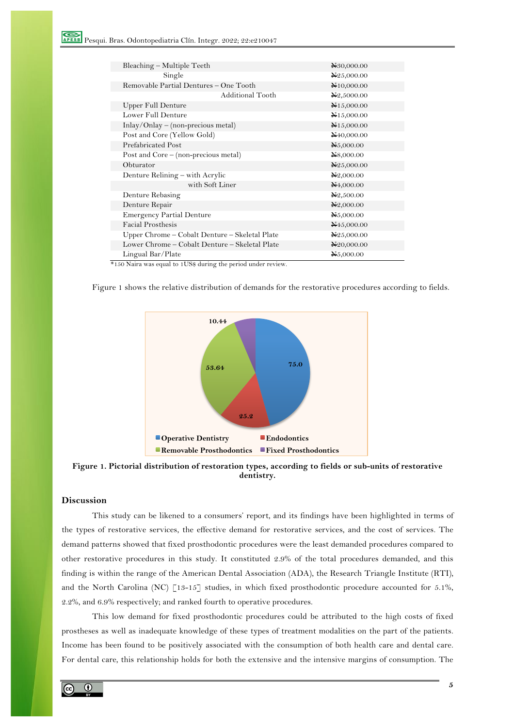| Bleaching - Multiple Teeth                     | $\text{H}30,000.00$        |
|------------------------------------------------|----------------------------|
| Single                                         | N <sub>25</sub> ,000.00    |
| Removable Partial Dentures - One Tooth         | $\mathbb{N}10,000.00$      |
| Additional Tooth                               | $\mathbf{\Sigma}2,5000.00$ |
| <b>Upper Full Denture</b>                      | N <sub>15</sub> ,000.00    |
| Lower Full Denture                             | N <sub>15</sub> ,000.00    |
| $Inlay/Only - (non-precious metal)$            | $\mathbb{N}15,000.00$      |
| Post and Core (Yellow Gold)                    | $\cancel{1000000}$         |
| Prefabricated Post                             | N <sub>5</sub> ,000.00     |
| Post and Core - (non-precious metal)           | N <sub>8</sub> ,000.00     |
| Obturator                                      | N25,000.00                 |
| Denture Relining – with Acrylic                | $\mathbf{N}2,000.00$       |
| with Soft Liner                                | N <sub>4</sub> ,000.00     |
| Denture Rebasing                               | N2,500.00                  |
| Denture Repair                                 | $\mathbb{H}2,000.00$       |
| <b>Emergency Partial Denture</b>               | N <sub>5</sub> ,000.00     |
| Facial Prosthesis                              | N <sub>45</sub> ,000.00    |
| Upper Chrome – Cobalt Denture – Skeletal Plate | $\text{N}25,000.00$        |
| Lower Chrome – Cobalt Denture – Skeletal Plate | $N_{20,000.00}$            |
| Lingual Bar/Plate                              | $N_{5,000.00}$             |
|                                                |                            |

\*150 Naira was equal to 1US\$ during the period under review.

Figure 1 shows the relative distribution of demands for the restorative procedures according to fields.



**Figure 1. Pictorial distribution of restoration types, according to fields or sub-units of restorative dentistry.**

# **Discussion**

This study can be likened to a consumers' report, and its findings have been highlighted in terms of the types of restorative services, the effective demand for restorative services, and the cost of services. The demand patterns showed that fixed prosthodontic procedures were the least demanded procedures compared to other restorative procedures in this study. It constituted 2.9% of the total procedures demanded, and this finding is within the range of the American Dental Association (ADA), the Research Triangle Institute (RTI), and the North Carolina (NC) [13-15] studies, in which fixed prosthodontic procedure accounted for 5.1%, 2.2%, and 6.9% respectively; and ranked fourth to operative procedures.

This low demand for fixed prosthodontic procedures could be attributed to the high costs of fixed prostheses as well as inadequate knowledge of these types of treatment modalities on the part of the patients. Income has been found to be positively associated with the consumption of both health care and dental care. For dental care, this relationship holds for both the extensive and the intensive margins of consumption. The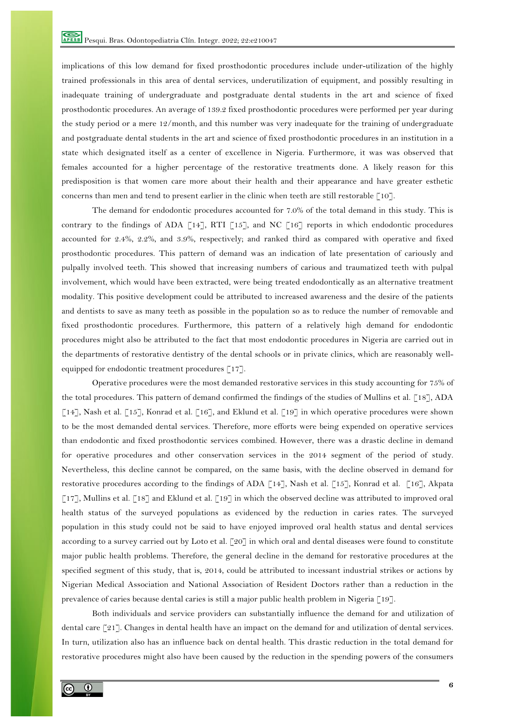implications of this low demand for fixed prosthodontic procedures include under-utilization of the highly trained professionals in this area of dental services, underutilization of equipment, and possibly resulting in inadequate training of undergraduate and postgraduate dental students in the art and science of fixed prosthodontic procedures. An average of 139.2 fixed prosthodontic procedures were performed per year during the study period or a mere 12/month, and this number was very inadequate for the training of undergraduate and postgraduate dental students in the art and science of fixed prosthodontic procedures in an institution in a state which designated itself as a center of excellence in Nigeria. Furthermore, it was was observed that females accounted for a higher percentage of the restorative treatments done. A likely reason for this predisposition is that women care more about their health and their appearance and have greater esthetic concerns than men and tend to present earlier in the clinic when teeth are still restorable [10].

The demand for endodontic procedures accounted for 7.0% of the total demand in this study. This is contrary to the findings of ADA  $\lceil 14 \rceil$ , RTI  $\lceil 15 \rceil$ , and NC  $\lceil 16 \rceil$  reports in which endodontic procedures accounted for 2.4%, 2.2%, and 3.9%, respectively; and ranked third as compared with operative and fixed prosthodontic procedures. This pattern of demand was an indication of late presentation of cariously and pulpally involved teeth. This showed that increasing numbers of carious and traumatized teeth with pulpal involvement, which would have been extracted, were being treated endodontically as an alternative treatment modality. This positive development could be attributed to increased awareness and the desire of the patients and dentists to save as many teeth as possible in the population so as to reduce the number of removable and fixed prosthodontic procedures. Furthermore, this pattern of a relatively high demand for endodontic procedures might also be attributed to the fact that most endodontic procedures in Nigeria are carried out in the departments of restorative dentistry of the dental schools or in private clinics, which are reasonably wellequipped for endodontic treatment procedures [17].

Operative procedures were the most demanded restorative services in this study accounting for 75% of the total procedures. This pattern of demand confirmed the findings of the studies of Mullins et al. [18], ADA [14], Nash et al. [15], Konrad et al. [16], and Eklund et al. [19] in which operative procedures were shown to be the most demanded dental services. Therefore, more efforts were being expended on operative services than endodontic and fixed prosthodontic services combined. However, there was a drastic decline in demand for operative procedures and other conservation services in the 2014 segment of the period of study. Nevertheless, this decline cannot be compared, on the same basis, with the decline observed in demand for restorative procedures according to the findings of ADA [14], Nash et al. [15], Konrad et al. [16], Akpata [17], Mullins et al. [18] and Eklund et al. [19] in which the observed decline was attributed to improved oral health status of the surveyed populations as evidenced by the reduction in caries rates. The surveyed population in this study could not be said to have enjoyed improved oral health status and dental services according to a survey carried out by Loto et al. [20] in which oral and dental diseases were found to constitute major public health problems. Therefore, the general decline in the demand for restorative procedures at the specified segment of this study, that is, 2014, could be attributed to incessant industrial strikes or actions by Nigerian Medical Association and National Association of Resident Doctors rather than a reduction in the prevalence of caries because dental caries is still a major public health problem in Nigeria [19].

Both individuals and service providers can substantially influence the demand for and utilization of dental care [21]. Changes in dental health have an impact on the demand for and utilization of dental services. In turn, utilization also has an influence back on dental health. This drastic reduction in the total demand for restorative procedures might also have been caused by the reduction in the spending powers of the consumers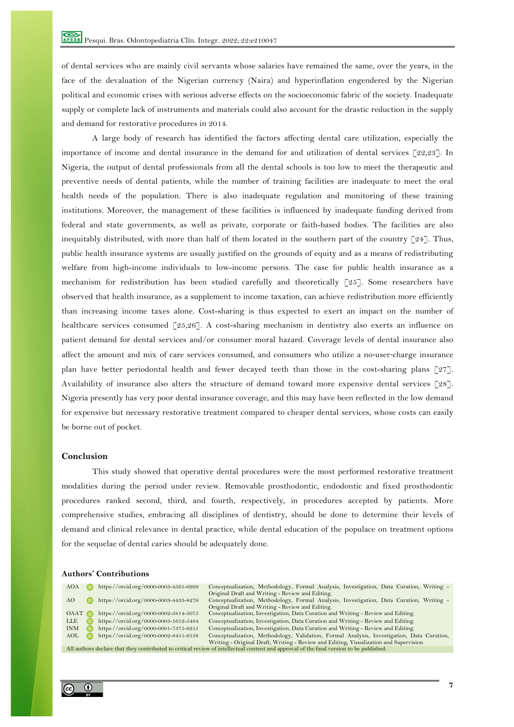of dental services who are mainly civil servants whose salaries have remained the same, over the years, in the face of the devaluation of the Nigerian currency (Naira) and hyperinflation engendered by the Nigerian political and economic crises with serious adverse effects on the socioeconomic fabric of the society. Inadequate supply or complete lack of instruments and materials could also account for the drastic reduction in the supply and demand for restorative procedures in 2014.

A large body of research has identified the factors affecting dental care utilization, especially the importance of income and dental insurance in the demand for and utilization of dental services [22,23]. In Nigeria, the output of dental professionals from all the dental schools is too low to meet the therapeutic and preventive needs of dental patients, while the number of training facilities are inadequate to meet the oral health needs of the population. There is also inadequate regulation and monitoring of these training institutions. Moreover, the management of these facilities is influenced by inadequate funding derived from federal and state governments, as well as private, corporate or faith-based bodies. The facilities are also inequitably distributed, with more than half of them located in the southern part of the country [24]. Thus, public health insurance systems are usually justified on the grounds of equity and as a means of redistributing welfare from high-income individuals to low-income persons. The case for public health insurance as a mechanism for redistribution has been studied carefully and theoretically [25]. Some researchers have observed that health insurance, as a supplement to income taxation, can achieve redistribution more efficiently than increasing income taxes alone. Cost-sharing is thus expected to exert an impact on the number of healthcare services consumed [25,26]. A cost-sharing mechanism in dentistry also exerts an influence on patient demand for dental services and/or consumer moral hazard. Coverage levels of dental insurance also affect the amount and mix of care services consumed, and consumers who utilize a no-user-charge insurance plan have better periodontal health and fewer decayed teeth than those in the cost-sharing plans [27]. Availability of insurance also alters the structure of demand toward more expensive dental services [28]. Nigeria presently has very poor dental insurance coverage, and this may have been reflected in the low demand for expensive but necessary restorative treatment compared to cheaper dental services, whose costs can easily be borne out of pocket.

# **Conclusion**

This study showed that operative dental procedures were the most performed restorative treatment modalities during the period under review. Removable prosthodontic, endodontic and fixed prosthodontic procedures ranked second, third, and fourth, respectively, in procedures accepted by patients. More comprehensive studies, embracing all disciplines of dentistry, should be done to determine their levels of demand and clinical relevance in dental practice, while dental education of the populace on treatment options for the sequelae of dental caries should be adequately done.

#### **Authors' Contributions**

| AOA                                                                                                                                     |     | https://orcid.org/0000-0003-4561-0999 | Conceptualization, Methodology, Formal Analysis, Investigation, Data Curation, Writing -   |  |  |
|-----------------------------------------------------------------------------------------------------------------------------------------|-----|---------------------------------------|--------------------------------------------------------------------------------------------|--|--|
|                                                                                                                                         |     |                                       | Original Draft and Writing - Review and Editing.                                           |  |  |
| AO.                                                                                                                                     |     | https://orcid.org/0000-0003-4433-8276 | Conceptualization, Methodology, Formal Analysis, Investigation, Data Curation, Writing -   |  |  |
|                                                                                                                                         |     |                                       | Original Draft and Writing - Review and Editing.                                           |  |  |
| $OAAT$ ( $D$ )                                                                                                                          |     | https://orcid.org/0000-0002-3814-5075 | Conceptualization, Investigation, Data Curation and Writing - Review and Editing.          |  |  |
| LLE.                                                                                                                                    |     | https://orcid.org/0000-0003-1612-5484 | Conceptualization, Investigation, Data Curation and Writing - Review and Editing.          |  |  |
| <b>INM</b>                                                                                                                              | iD) | https://orcid.org/0000-0001-7375-9251 | Conceptualization, Investigation, Data Curation and Writing - Review and Editing.          |  |  |
| AOL                                                                                                                                     |     | https://orcid.org/0000-0002-8451-9138 | Conceptualization, Methodology, Validation, Formal Analysis, Investigation, Data Curation, |  |  |
|                                                                                                                                         |     |                                       | Writing - Original Draft, Writing - Review and Editing, Visualization and Supervision.     |  |  |
| All authors declare that they contributed to critical review of intellectual content and approval of the final version to be published. |     |                                       |                                                                                            |  |  |
|                                                                                                                                         |     |                                       |                                                                                            |  |  |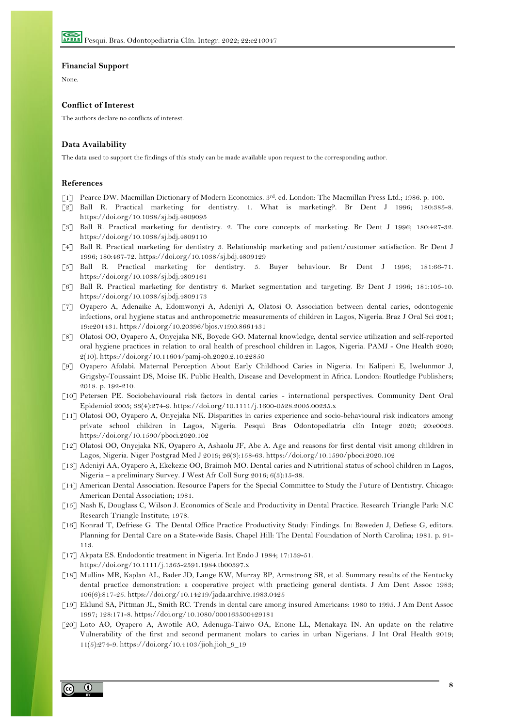# **Financial Support**

None.

# **Conflict of Interest**

The authors declare no conflicts of interest.

#### **Data Availability**

The data used to support the findings of this study can be made available upon request to the corresponding author.

#### **References**

- [1] Pearce DW. Macmillan Dictionary of Modern Economics. 3rd. ed. London: The Macmillan Press Ltd.; 1986. p. 100.
- [2] Ball R. Practical marketing for dentistry. 1. What is marketing?. Br Dent J 1996; 180:385-8. https://doi.org/10.1038/sj.bdj.4809095
- [3] Ball R. Practical marketing for dentistry. 2. The core concepts of marketing. Br Dent J 1996; 180:427-32. https://doi.org/10.1038/sj.bdj.4809110
- [4] Ball R. Practical marketing for dentistry 3. Relationship marketing and patient/customer satisfaction. Br Dent J 1996; 180:467-72. https://doi.org/10.1038/sj.bdj.4809129
- [5] Ball R. Practical marketing for dentistry. 5. Buyer behaviour. Br Dent J 1996; 181:66-71. https://doi.org/10.1038/sj.bdj.4809161
- [6] Ball R. Practical marketing for dentistry 6. Market segmentation and targeting. Br Dent J 1996; 181:105-10. https://doi.org/10.1038/sj.bdj.4809173
- [7] Oyapero A, Adenaike A, Edomwonyi A, Adeniyi A, Olatosi O. Association between dental caries, odontogenic infections, oral hygiene status and anthropometric measurements of children in Lagos, Nigeria. Braz J Oral Sci 2021; 19:e201431. https://doi.org/10.20396/bjos.v19i0.8661431
- [8] Olatosi OO, Oyapero A, Onyejaka NK, Boyede GO. Maternal knowledge, dental service utilization and self-reported oral hygiene practices in relation to oral health of preschool children in Lagos, Nigeria. PAMJ - One Health 2020; 2(10). https://doi.org/10.11604/pamj-oh.2020.2.10.22850
- [9] Oyapero Afolabi. Maternal Perception About Early Childhood Caries in Nigeria. In: Kalipeni E, Iwelunmor J, Grigsby-Toussaint DS, Moise IK. Public Health, Disease and Development in Africa. London: Routledge Publishers; 2018. p. 192-210.
- [10] Petersen PE. Sociobehavioural risk factors in dental caries international perspectives. Community Dent Oral Epidemiol 2005; 33(4):274-9. https://doi.org/10.1111/j.1600-0528.2005.00235.x
- [11] Olatosi OO, Oyapero A, Onyejaka NK. Disparities in caries experience and socio-behavioural risk indicators among private school children in Lagos, Nigeria. Pesqui Bras Odontopediatria clín Integr 2020; 20:e0023. https://doi.org/10.1590/pboci.2020.102
- [12] Olatosi OO, Onyejaka NK, Oyapero A, Ashaolu JF, Abe A. Age and reasons for first dental visit among children in Lagos, Nigeria. Niger Postgrad Med J 2019; 26(3):158-63. https://doi.org/10.1590/pboci.2020.102
- [13] Adeniyi AA, Oyapero A, Ekekezie OO, Braimoh MO. Dental caries and Nutritional status of school children in Lagos, Nigeria – a preliminary Survey. J West Afr Coll Surg 2016; 6(3):15-38.
- [14] American Dental Association. Resource Papers for the Special Committee to Study the Future of Dentistry. Chicago: American Dental Association; 1981.
- [15] Nash K, Douglass C, Wilson J. Economics of Scale and Productivity in Dental Practice. Research Triangle Park: N.C Research Triangle Institute; 1978.
- [16] Konrad T, Defriese G. The Dental Office Practice Productivity Study: Findings. In: Baweden J, Defiese G, editors. Planning for Dental Care on a State-wide Basis. Chapel Hill: The Dental Foundation of North Carolina; 1981. p. 91- 113.
- [17] Akpata ES. Endodontic treatment in Nigeria. Int Endo J 1984; 17:139-51. https://doi.org/10.1111/j.1365-2591.1984.tb00397.x
- [18] Mullins MR, Kaplan AL, Bader JD, Lange KW, Murray BP, Armstrong SR, et al. Summary results of the Kentucky dental practice demonstration: a cooperative project with practicing general dentists. J Am Dent Assoc 1983; 106(6):817-25. https://doi.org/10.14219/jada.archive.1983.0425
- [19] Eklund SA, Pittman JL, Smith RC. Trends in dental care among insured Americans: 1980 to 1995. J Am Dent Assoc 1997; 128:171-8. https://doi.org/10.1080/000163500429181
- [20] Loto AO, Oyapero A, Awotile AO, Adenuga-Taiwo OA, Enone LL, Menakaya IN. An update on the relative Vulnerability of the first and second permanent molars to caries in urban Nigerians. J Int Oral Health 2019; 11(5):274-9. https://doi.org/10.4103/jioh.jioh\_9\_19